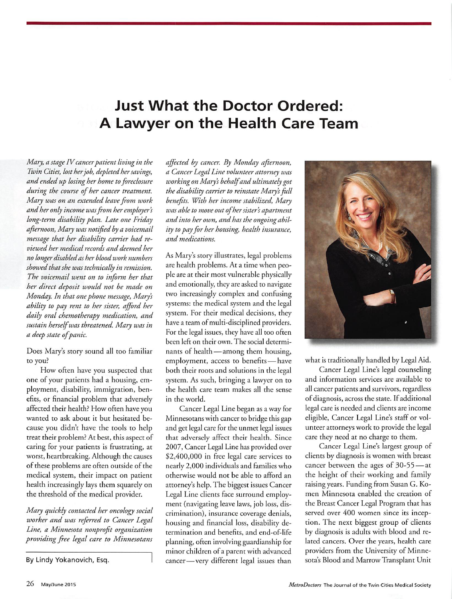## **Just What the Doctor Ordered:** A Lawyer on the Health Care Team

Mary, a stage IV cancer patient living in the Twin Cities, lost her job, depleted her savings, and ended up losing her home to foreclosure during the course of her cancer treatment. Mary was on an extended leave from work and her only income was from her employer's long-term disability plan. Late one Friday afternoon, Mary was notified by a voicemail message that her disability carrier had reviewed her medical records and deemed her no longer disabled as her blood work numbers showed that she was technically in remission. The voicemail went on to inform her that her direct deposit would not be made on Monday. In that one phone message, Mary's ability to pay rent to her sister, afford her daily oral chemotherapy medication, and sustain herself was threatened. Mary was in a deep state of panic.

Does Mary's story sound all too familiar to you?

How often have you suspected that one of your patients had a housing, employment, disability, immigration, benefits, or financial problem that adversely affected their health? How often have you wanted to ask about it but hesitated because you didn't have the tools to help treat their problem? At best, this aspect of caring for your patients is frustrating, at worst, heartbreaking. Although the causes of these problems are often outside of the medical system, their impact on patient health increasingly lays them squarely on the threshold of the medical provider.

Mary quickly contacted her oncology social worker and was referred to Cancer Legal Line, a Minnesota nonprofit organization providing free legal care to Minnesotans

By Lindy Yokanovich, Esq.

affected by cancer. By Monday afternoon, a Cancer Legal Line volunteer attorney was working on Mary's behalf and ultimately got the disability carrier to reinstate Mary's full benefits. With her income stabilized, Mary was able to move out of her sister's apartment and into her own, and has the ongoing ability to pay for her housing, health insurance, and medications.

As Mary's story illustrates, legal problems are health problems. At a time when people are at their most vulnerable physically and emotionally, they are asked to navigate two increasingly complex and confusing systems: the medical system and the legal system. For their medical decisions, they have a team of multi-disciplined providers. For the legal issues, they have all too often been left on their own. The social determinants of health — among them housing, employment, access to benefits-have both their roots and solutions in the legal system. As such, bringing a lawyer on to the health care team makes all the sense in the world.

Cancer Legal Line began as a way for Minnesotans with cancer to bridge this gap and get legal care for the unmet legal issues that adversely affect their health. Since 2007, Cancer Legal Line has provided over \$2,400,000 in free legal care services to nearly 2,000 individuals and families who otherwise would not be able to afford an attorney's help. The biggest issues Cancer Legal Line clients face surround employment (navigating leave laws, job loss, discrimination), insurance coverage denials, housing and financial loss, disability determination and benefits, and end-of-life planning, often involving guardianship for minor children of a parent with advanced cancer-very different legal issues than



what is traditionally handled by Legal Aid.

Cancer Legal Line's legal counseling and information services are available to all cancer patients and survivors, regardless of diagnosis, across the state. If additional legal care is needed and clients are income eligible, Cancer Legal Line's staff or volunteer attorneys work to provide the legal care they need at no charge to them.

Cancer Legal Line's largest group of clients by diagnosis is women with breast cancer between the ages of 30-55-at the height of their working and family raising years. Funding from Susan G. Komen Minnesota enabled the creation of the Breast Cancer Legal Program that has served over 400 women since its inception. The next biggest group of clients by diagnosis is adults with blood and related cancers. Over the years, health care providers from the University of Minnesota's Blood and Marrow Transplant Unit